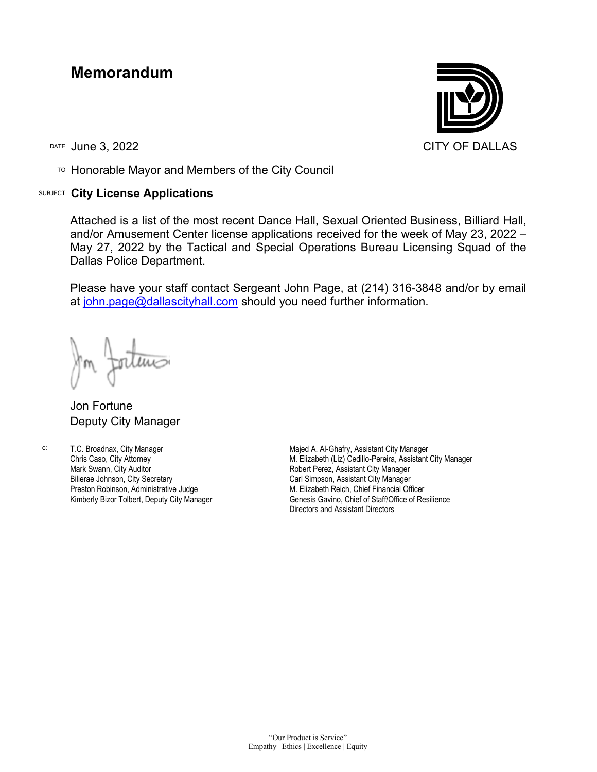## **Memorandum**

TO Honorable Mayor and Members of the City Council

## SUBJECT **City License Applications**



Attached is a list of the most recent Dance Hall, Sexual Oriented Business, Billiard Hall, and/or Amusement Center license applications received for the week of May 23, 2022 – May 27, 2022 by the Tactical and Special Operations Bureau Licensing Squad of the Dallas Police Department.

Please have your staff contact Sergeant John Page, at (214) 316-3848 and/or by email at [john.page@dallascityhall.com](mailto:john.page@dallascityhall.com) should you need further information.

Jon Fortune Deputy City Manager

c: T.C. Broadnax, City Manager Chris Caso, City Attorney Mark Swann, City Auditor Bilierae Johnson, City Secretary Preston Robinson, Administrative Judge Kimberly Bizor Tolbert, Deputy City Manager

Majed A. Al-Ghafry, Assistant City Manager M. Elizabeth (Liz) Cedillo-Pereira, Assistant City Manager Robert Perez, Assistant City Manager Carl Simpson, Assistant City Manager M. Elizabeth Reich, Chief Financial Officer Genesis Gavino, Chief of Staff/Office of Resilience Directors and Assistant Directors